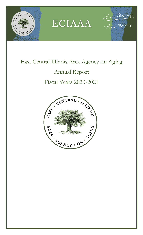



Live Strong

## East Central Illinois Area Agency on Aging Annual Report

## Fiscal Years 2020-2021

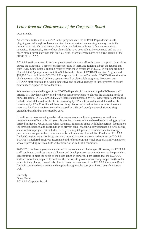## *Letter from the Chairperson of the Corporate Board*

## Dear Friends,

As we come to the end of our 2020-2021 program year, the COVID-19 pandemic is still plaguing us. Although we have a vaccine, the new variants are causing a resurgence in the number of cases. Once again our older adult population continues to face unprecedented adversity. Fortunately, many of our older adults have been able to be vaccinated and are in a much more protect state than this time last year. Many are vaccinated as a direct results of the efforts of ECIAAA.

ECIAAA staff has turned in another phenomenal advocacy effort this year to support older adults during the pandemic. These efforts have resulted in increased funding at both the federal and state level. Some notable funding received from those efforts are \$432,057 in funding from the Consolidated Appropriations Act, \$84,360 from the Illinois COVID-19 Vaccine Program and \$53,957 from the Illinois COVID-19 Transportation Program/Outreach. COVID-19 continues to challenge our traditional delivery systems for all of older adult programs. However, our ECIAAA staff continue to develop innovative and adaptive changes to those systems to ensure continuity of support to our older adults.

While meeting the challenges of the COVID-19 pandemic continue to top the ECIAAA staff priority list, they have also worked with our service providers to address the changing needs of our older adults. In FY 2020 ECIAAA's total clients increased by 4%. Other significant changes include: home delivered meals clients increasing by 71% with actual home delivered meals increasing by 50%, Coordinated Points of Entry/Senior Information Services units of service increased by 12%, caregivers served increased by 18% and grandparents/relatives raising grandchildren/children increased by 25%.

In addition to these amazing statistical increases in our traditional programs, several new programs were offered this past year. Bingocise is a new evidence based healthy aging program offered in Macon, McLean, and Clark Counties. It marries bingo with light exercise, focusing on leg strength, balance, and coordination to prevent falls. Macon County launched a new reducing social isolation project that includes friendly visiting, telephone reassurance and technology purchase and support to help reduce social isolation among older adults. Finally, all ECIAAA funded Caregiver Advisory Programs were granted licenses and received training on TCARE. TCARE is a tailored caregiver assessment and referral program which supports family members who are providing care to adults with chronic or acute health conditions.

2020-2021 has been a year once again full of unprecedented challenges. However, our ECIAAA staff continues to address those challenges and develop processes whereby our service providers can continue to meet the needs of the older adults in our area. I am certain that the ECIAAA staff are more than prepared to continue their efforts to provide unwavering support to the older adults in their charge. I would also like to thank the members of the ECIAAA Corporate Board for their continued engagement and support throughout the past year. Please be safe and stay well.

Sincerely, Doug Harlan ECIAAA Corporate Board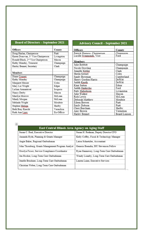| <b>Board of Directors - September 2021</b>     |            |  |  |  |
|------------------------------------------------|------------|--|--|--|
| Officers                                       | County     |  |  |  |
| Doug Harlan, Chairperson                       | Piatt      |  |  |  |
| Karen Donovan, 1st Vice Chairperson            | Livingston |  |  |  |
| Ronald Black, 2 <sup>nd</sup> Vice Chairperson | Macon      |  |  |  |
| Kathy Munday, Treasurer                        | Champaign  |  |  |  |
| Harley Bennet, Secretary                       | Clark      |  |  |  |
|                                                |            |  |  |  |
| Members                                        |            |  |  |  |
| Diane Cousert                                  | Champaign  |  |  |  |
| Kathy Munday                                   | Champaign  |  |  |  |
| Margaret Messer                                | Coles      |  |  |  |
| Mary Liz Wright                                | Edgar      |  |  |  |
| LuAnn Armantrout                               | Iroquois   |  |  |  |
| Nancy Derby                                    | Macon      |  |  |  |
| Marilyn Morrow                                 | McLean     |  |  |  |
| Mindy Morgan                                   | McLean     |  |  |  |
| Melinda Wright                                 | Moultrie   |  |  |  |
| Stephen Melega                                 | Shelby     |  |  |  |
| Beth Bray Knecht                               | Vermilion  |  |  |  |
| Ruth Ann Lipic                                 | Ex-Officio |  |  |  |

| <b>Advisory Council – September 2021</b> |  |  |
|------------------------------------------|--|--|
|                                          |  |  |

| Officers                                           | County        |
|----------------------------------------------------|---------------|
| Patrick Harness. Chairnerson                       | Champaign     |
| Lucille Symmonds. Vice                             | Ford          |
|                                                    |               |
| Members                                            |               |
| Julie Bobbitt                                      | Champaign     |
| Nicole Dowling<br>-----------                      | Champaign     |
| Jennifer Kibler<br>------------------              | Clark         |
| Sheila Greuel<br>and the company of the company of | Coles         |
| Sandy Bowman                                       | Cumberland    |
| Sherry Gordon-Harris                               | DeWitt        |
| Judith Knoth<br>___________________                | DeWitt        |
| King Sutton<br>-------------------                 | Edgar         |
| Judith Ondercho                                    | Ford          |
| Patty Haberkorn<br>--------------                  | Livingston    |
| Julie Walker<br>-------------                      | Macon         |
| Rick Lewis<br>--------------                       | McLean        |
| Deborah Matthew<br>------------                    | Moultrie      |
| Eileen Brewer                                      | Piatt         |
| Emily Dobson<br>-----------                        | Piatt         |
| Cheri Burcham                                      | Shelby        |
| Amy Brown                                          | Vermilion     |
| Harley Bennet                                      | Board Liaison |

 $\frac{1}{2}$ 

| <b>East Central Illinois Area Agency on Aging Staff</b> |                                           |  |  |
|---------------------------------------------------------|-------------------------------------------|--|--|
| Susan C. Real, Executive Director                       | Susan H. Redman, Deputy Director/CFO      |  |  |
| Amanda Hyde, Planning & Grants Manager                  | Kelly Coffey, Fiscal & Technology Manager |  |  |
| Angie Baker, Regional Ombudsman                         | Laton Schnetzler, Accountant              |  |  |
| John Thornburg, Grants Management Program Analyst       | Genesis Buendia, ISU Stevenson Fellow     |  |  |
| Orsolya Ficsor, Service Compliance Coordinator          | Ryan Gannaway, Long-Term Care Ombudsman   |  |  |
| Jen Hooker, Long-Term Care Ombudsman                    | Wendy Lisanby, Long-Term Care Ombudsman   |  |  |
| Jenelle Bruckner, Long-Term Care Ombudsman              | Lauren Laine, Executive Services          |  |  |
| Christian Weber, Long-Term Care Ombudsman               |                                           |  |  |